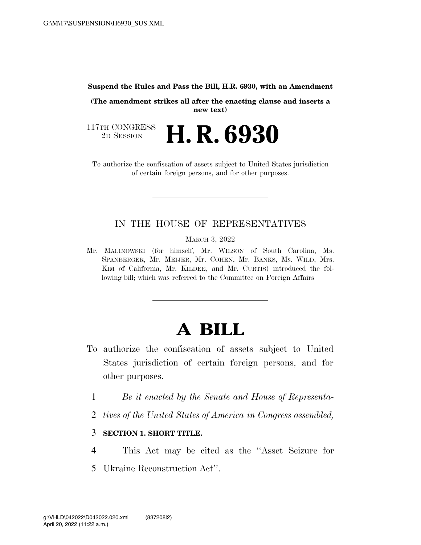**Suspend the Rules and Pass the Bill, H.R. 6930, with an Amendment** 

**(The amendment strikes all after the enacting clause and inserts a new text)** 

117TH CONGRESS<br>2D SESSION 2D SESSION **H. R. 6930** 

To authorize the confiscation of assets subject to United States jurisdiction of certain foreign persons, and for other purposes.

## IN THE HOUSE OF REPRESENTATIVES

MARCH 3, 2022

Mr. MALINOWSKI (for himself, Mr. WILSON of South Carolina, Ms. SPANBERGER, Mr. MEIJER, Mr. COHEN, Mr. BANKS, Ms. WILD, Mrs. KIM of California, Mr. KILDEE, and Mr. CURTIS) introduced the following bill; which was referred to the Committee on Foreign Affairs

# **A BILL**

- To authorize the confiscation of assets subject to United States jurisdiction of certain foreign persons, and for other purposes.
	- 1 *Be it enacted by the Senate and House of Representa-*
	- 2 *tives of the United States of America in Congress assembled,*

## 3 **SECTION 1. SHORT TITLE.**

- 4 This Act may be cited as the ''Asset Seizure for
- 5 Ukraine Reconstruction Act''.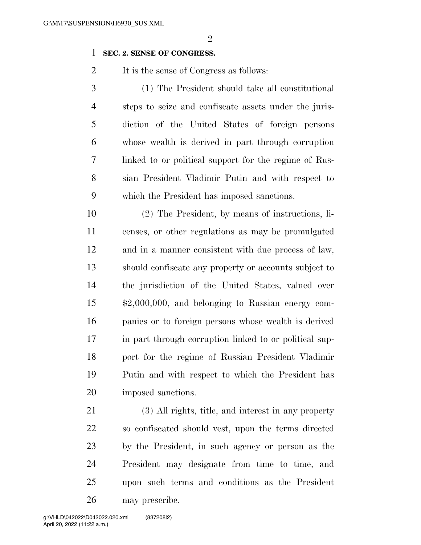## **SEC. 2. SENSE OF CONGRESS.**

2 It is the sense of Congress as follows:

 (1) The President should take all constitutional steps to seize and confiscate assets under the juris- diction of the United States of foreign persons whose wealth is derived in part through corruption linked to or political support for the regime of Rus- sian President Vladimir Putin and with respect to which the President has imposed sanctions.

 (2) The President, by means of instructions, li- censes, or other regulations as may be promulgated and in a manner consistent with due process of law, should confiscate any property or accounts subject to the jurisdiction of the United States, valued over \$2,000,000, and belonging to Russian energy com- panies or to foreign persons whose wealth is derived in part through corruption linked to or political sup- port for the regime of Russian President Vladimir Putin and with respect to which the President has imposed sanctions.

 (3) All rights, title, and interest in any property so confiscated should vest, upon the terms directed by the President, in such agency or person as the President may designate from time to time, and upon such terms and conditions as the President may prescribe.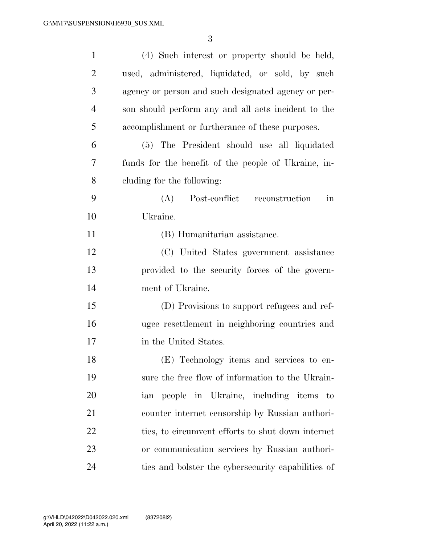| $\mathbf{1}$   | (4) Such interest or property should be held,              |
|----------------|------------------------------------------------------------|
| $\overline{2}$ | used, administered, liquidated, or sold, by such           |
| 3              | agency or person and such designated agency or per-        |
| $\overline{4}$ | son should perform any and all acts incident to the        |
| 5              | accomplishment or furtherance of these purposes.           |
| 6              | (5) The President should use all liquidated                |
| 7              | funds for the benefit of the people of Ukraine, in-        |
| 8              | cluding for the following:                                 |
| 9              | Post-conflict reconstruction<br>(A)<br>$\operatorname{in}$ |
| 10             | Ukraine.                                                   |
| 11             | (B) Humanitarian assistance.                               |
| 12             | (C) United States government assistance                    |
| 13             | provided to the security forces of the govern-             |
| 14             | ment of Ukraine.                                           |
| 15             | (D) Provisions to support refugees and ref-                |
| 16             | ugee resettlement in neighboring countries and             |
| 17             | in the United States.                                      |
| 18             | (E) Technology items and services to en-                   |
| 19             | sure the free flow of information to the Ukrain-           |
| 20             | ian people in Ukraine, including items to                  |
| 21             | counter internet censorship by Russian authori-            |
| 22             | ties, to circumvent efforts to shut down internet          |
| 23             | or communication services by Russian authori-              |
| 24             | ties and bolster the cybers ecurity capabilities of        |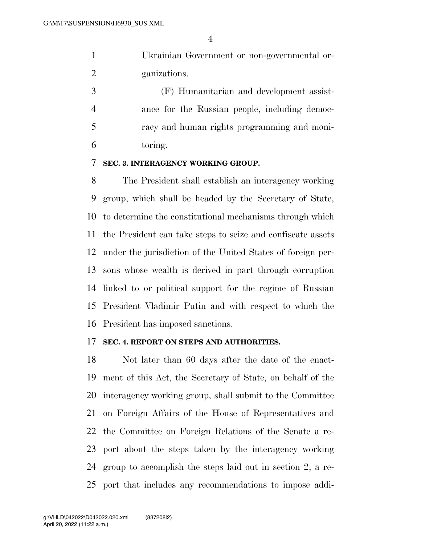|                | Ukrainian Government or non-governmental or- |
|----------------|----------------------------------------------|
| $\overline{2}$ | ganizations.                                 |

 (F) Humanitarian and development assist- ance for the Russian people, including democ- racy and human rights programming and moni-toring.

#### **SEC. 3. INTERAGENCY WORKING GROUP.**

 The President shall establish an interagency working group, which shall be headed by the Secretary of State, to determine the constitutional mechanisms through which the President can take steps to seize and confiscate assets under the jurisdiction of the United States of foreign per- sons whose wealth is derived in part through corruption linked to or political support for the regime of Russian President Vladimir Putin and with respect to which the President has imposed sanctions.

#### **SEC. 4. REPORT ON STEPS AND AUTHORITIES.**

 Not later than 60 days after the date of the enact- ment of this Act, the Secretary of State, on behalf of the interagency working group, shall submit to the Committee on Foreign Affairs of the House of Representatives and the Committee on Foreign Relations of the Senate a re- port about the steps taken by the interagency working group to accomplish the steps laid out in section 2, a re-port that includes any recommendations to impose addi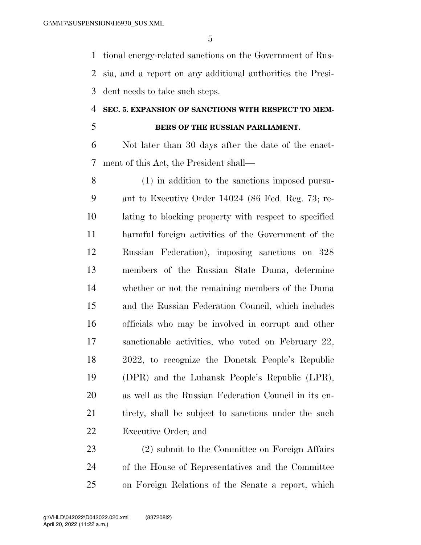tional energy-related sanctions on the Government of Rus- sia, and a report on any additional authorities the Presi-dent needs to take such steps.

#### **SEC. 5. EXPANSION OF SANCTIONS WITH RESPECT TO MEM-**

# **BERS OF THE RUSSIAN PARLIAMENT.**

 Not later than 30 days after the date of the enact-ment of this Act, the President shall—

 (1) in addition to the sanctions imposed pursu- ant to Executive Order 14024 (86 Fed. Reg. 73; re- lating to blocking property with respect to specified harmful foreign activities of the Government of the Russian Federation), imposing sanctions on 328 members of the Russian State Duma, determine whether or not the remaining members of the Duma and the Russian Federation Council, which includes officials who may be involved in corrupt and other sanctionable activities, who voted on February 22, 2022, to recognize the Donetsk People's Republic (DPR) and the Luhansk People's Republic (LPR), as well as the Russian Federation Council in its en-21 tirety, shall be subject to sanctions under the such Executive Order; and

 (2) submit to the Committee on Foreign Affairs of the House of Representatives and the Committee on Foreign Relations of the Senate a report, which